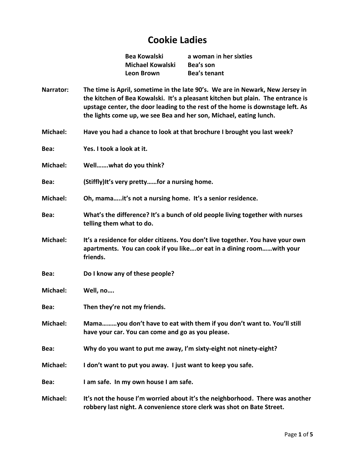## **Cookie Ladies**

**Michael Kowalski Bea's son Leon Brown Bea's tenant**

**Bea Kowalski a woman** i**n her sixties**

- **Narrator: The time is April, sometime in the late 90's. We are in Newark, New Jersey in the kitchen of Bea Kowalski. It's a pleasant kitchen but plain. The entrance is upstage center, the door leading to the rest of the home is downstage left. As the lights come up, we see Bea and her son, Michael, eating lunch.**
- **Michael: Have you had a chance to look at that brochure I brought you last week?**
- **Bea: Yes. I took a look at it.**
- **Michael: Well…….what do you think?**
- **Bea: (Stiffly)It's very pretty……for a nursing home.**
- **Michael: Oh, mama…..it's not a nursing home. It's a senior residence.**
- **Bea: What's the difference? It's a bunch of old people living together with nurses telling them what to do.**
- **Michael: It's a residence for older citizens. You don't live together. You have your own apartments. You can cook if you like….or eat in a dining room……with your friends.**
- **Bea: Do I know any of these people?**
- **Michael: Well, no….**
- **Bea: Then they're not my friends.**
- **Michael: Mama………you don't have to eat with them if you don't want to. You'll still have your car. You can come and go as you please.**
- **Bea: Why do you want to put me away, I'm sixty-eight not ninety-eight?**
- **Michael: I don't want to put you away. I just want to keep you safe.**
- **Bea: I am safe. In my own house I am safe.**
- **Michael: It's not the house I'm worried about it's the neighborhood. There was another robbery last night. A convenience store clerk was shot on Bate Street.**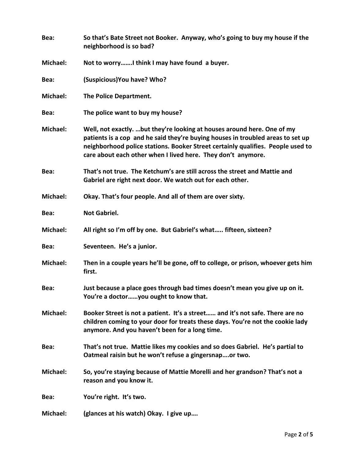| Bea:            | So that's Bate Street not Booker. Anyway, who's going to buy my house if the<br>neighborhood is so bad?                                                                                                                                                                                                       |
|-----------------|---------------------------------------------------------------------------------------------------------------------------------------------------------------------------------------------------------------------------------------------------------------------------------------------------------------|
| <b>Michael:</b> | Not to worryI think I may have found a buyer.                                                                                                                                                                                                                                                                 |
| Bea:            | (Suspicious) You have? Who?                                                                                                                                                                                                                                                                                   |
| Michael:        | The Police Department.                                                                                                                                                                                                                                                                                        |
| Bea:            | The police want to buy my house?                                                                                                                                                                                                                                                                              |
| Michael:        | Well, not exactly. but they're looking at houses around here. One of my<br>patients is a cop and he said they're buying houses in troubled areas to set up<br>neighborhood police stations. Booker Street certainly qualifies. People used to<br>care about each other when I lived here. They don't anymore. |
| Bea:            | That's not true. The Ketchum's are still across the street and Mattie and<br>Gabriel are right next door. We watch out for each other.                                                                                                                                                                        |
| Michael:        | Okay. That's four people. And all of them are over sixty.                                                                                                                                                                                                                                                     |
| Bea:            | <b>Not Gabriel.</b>                                                                                                                                                                                                                                                                                           |
| <b>Michael:</b> | All right so I'm off by one. But Gabriel's what fifteen, sixteen?                                                                                                                                                                                                                                             |
| Bea:            | Seventeen. He's a junior.                                                                                                                                                                                                                                                                                     |
| Michael:        | Then in a couple years he'll be gone, off to college, or prison, whoever gets him<br>first.                                                                                                                                                                                                                   |
| Bea:            | Just because a place goes through bad times doesn't mean you give up on it.<br>You're a doctoryou ought to know that.                                                                                                                                                                                         |
| Michael:        | Booker Street is not a patient. It's a street and it's not safe. There are no<br>children coming to your door for treats these days. You're not the cookie lady<br>anymore. And you haven't been for a long time.                                                                                             |
| Bea:            | That's not true. Mattie likes my cookies and so does Gabriel. He's partial to<br>Oatmeal raisin but he won't refuse a gingersnapor two.                                                                                                                                                                       |
| Michael:        | So, you're staying because of Mattie Morelli and her grandson? That's not a<br>reason and you know it.                                                                                                                                                                                                        |
| Bea:            | You're right. It's two.                                                                                                                                                                                                                                                                                       |
| Michael:        | (glances at his watch) Okay. I give up                                                                                                                                                                                                                                                                        |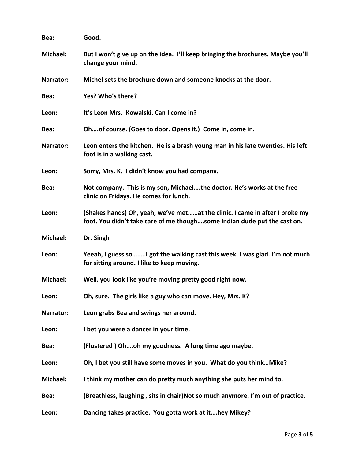| Bea:            | Good.                                                                                                                                                   |
|-----------------|---------------------------------------------------------------------------------------------------------------------------------------------------------|
| Michael:        | But I won't give up on the idea. I'll keep bringing the brochures. Maybe you'll<br>change your mind.                                                    |
| Narrator:       | Michel sets the brochure down and someone knocks at the door.                                                                                           |
| Bea:            | Yes? Who's there?                                                                                                                                       |
| Leon:           | It's Leon Mrs. Kowalski. Can I come in?                                                                                                                 |
| Bea:            | Ohof course. (Goes to door. Opens it.) Come in, come in.                                                                                                |
| Narrator:       | Leon enters the kitchen. He is a brash young man in his late twenties. His left<br>foot is in a walking cast.                                           |
| Leon:           | Sorry, Mrs. K. I didn't know you had company.                                                                                                           |
| Bea:            | Not company. This is my son, Michaelthe doctor. He's works at the free<br>clinic on Fridays. He comes for lunch.                                        |
| Leon:           | (Shakes hands) Oh, yeah, we've metat the clinic. I came in after I broke my<br>foot. You didn't take care of me thoughsome Indian dude put the cast on. |
| <b>Michael:</b> |                                                                                                                                                         |
|                 | Dr. Singh                                                                                                                                               |
| Leon:           | Yeeah, I guess soI got the walking cast this week. I was glad. I'm not much<br>for sitting around. I like to keep moving.                               |
| <b>Michael:</b> | Well, you look like you're moving pretty good right now.                                                                                                |
| Leon:           | Oh, sure. The girls like a guy who can move. Hey, Mrs. K?                                                                                               |
| Narrator:       | Leon grabs Bea and swings her around.                                                                                                                   |
| Leon:           | I bet you were a dancer in your time.                                                                                                                   |
| Bea:            | (Flustered) Ohoh my goodness. A long time ago maybe.                                                                                                    |
| Leon:           | Oh, I bet you still have some moves in you. What do you think Mike?                                                                                     |
| <b>Michael:</b> | I think my mother can do pretty much anything she puts her mind to.                                                                                     |
| Bea:            | (Breathless, laughing, sits in chair) Not so much anymore. I'm out of practice.                                                                         |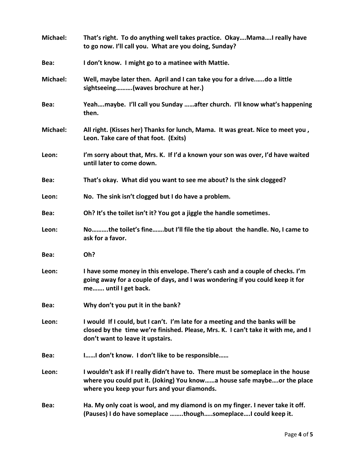| <b>Michael:</b> | That's right. To do anything well takes practice. OkayMamaI really have<br>to go now. I'll call you. What are you doing, Sunday?                                                                          |
|-----------------|-----------------------------------------------------------------------------------------------------------------------------------------------------------------------------------------------------------|
| Bea:            | I don't know. I might go to a matinee with Mattie.                                                                                                                                                        |
| <b>Michael:</b> | Well, maybe later then. April and I can take you for a drivedo a little<br>sightseeing(waves brochure at her.)                                                                                            |
| Bea:            | Yeahmaybe. I'll call you Sunday after church. I'll know what's happening<br>then.                                                                                                                         |
| Michael:        | All right. (Kisses her) Thanks for lunch, Mama. It was great. Nice to meet you,<br>Leon. Take care of that foot. (Exits)                                                                                  |
| Leon:           | I'm sorry about that, Mrs. K. If I'd a known your son was over, I'd have waited<br>until later to come down.                                                                                              |
| Bea:            | That's okay. What did you want to see me about? Is the sink clogged?                                                                                                                                      |
| Leon:           | No. The sink isn't clogged but I do have a problem.                                                                                                                                                       |
| Bea:            | Oh? It's the toilet isn't it? You got a jiggle the handle sometimes.                                                                                                                                      |
| Leon:           | Nothe toilet's finebut I'll file the tip about the handle. No, I came to<br>ask for a favor.                                                                                                              |
| Bea:            | Oh?                                                                                                                                                                                                       |
| Leon:           | I have some money in this envelope. There's cash and a couple of checks. I'm<br>going away for a couple of days, and I was wondering if you could keep it for<br>me until I get back.                     |
| Bea:            | Why don't you put it in the bank?                                                                                                                                                                         |
| Leon:           | I would If I could, but I can't. I'm late for a meeting and the banks will be<br>closed by the time we're finished. Please, Mrs. K. I can't take it with me, and I<br>don't want to leave it upstairs.    |
| Bea:            | II don't know. I don't like to be responsible                                                                                                                                                             |
| Leon:           | I wouldn't ask if I really didn't have to. There must be someplace in the house<br>where you could put it. (Joking) You knowa house safe maybeor the place<br>where you keep your furs and your diamonds. |
| Bea:            | Ha. My only coat is wool, and my diamond is on my finger. I never take it off.<br>(Pauses) I do have someplace thoughsomeplaceI could keep it.                                                            |